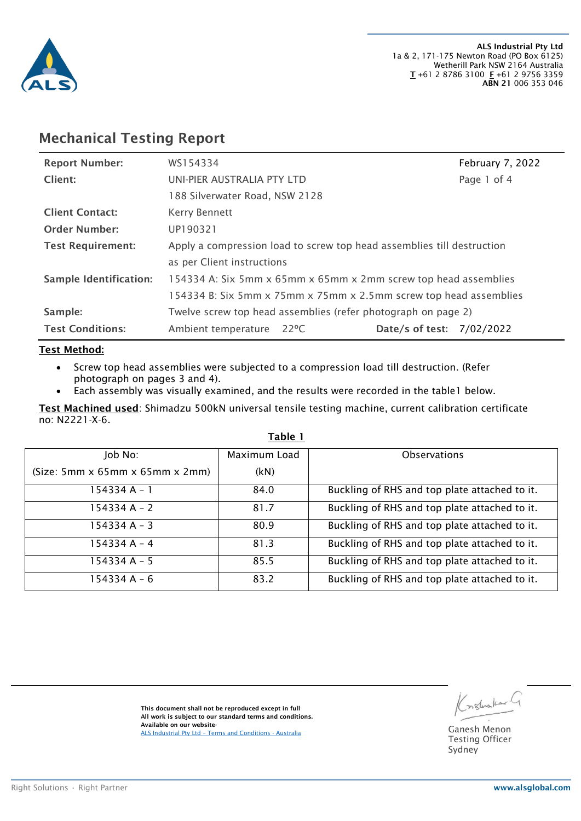

### Mechanical Testing Report

| <b>Report Number:</b>    | WS154334                                                               |      |                           | February 7, 2022 |
|--------------------------|------------------------------------------------------------------------|------|---------------------------|------------------|
| Client:                  | UNI-PIER AUSTRALIA PTY LTD                                             |      |                           | Page 1 of 4      |
|                          | 188 Silverwater Road, NSW 2128                                         |      |                           |                  |
| <b>Client Contact:</b>   | Kerry Bennett                                                          |      |                           |                  |
| <b>Order Number:</b>     | UP190321                                                               |      |                           |                  |
| <b>Test Requirement:</b> | Apply a compression load to screw top head assemblies till destruction |      |                           |                  |
|                          | as per Client instructions                                             |      |                           |                  |
| Sample Identification:   | 154334 A: Six 5mm x 65mm x 65mm x 2mm screw top head assemblies        |      |                           |                  |
|                          | 154334 B: Six 5mm x 75mm x 75mm x 2.5mm screw top head assemblies      |      |                           |                  |
| Sample:                  | Twelve screw top head assemblies (refer photograph on page 2)          |      |                           |                  |
| <b>Test Conditions:</b>  | Ambient temperature                                                    | 22°C | Date/s of test: 7/02/2022 |                  |

### Test Method:

- Screw top head assemblies were subjected to a compression load till destruction. (Refer photograph on pages 3 and 4).
- Each assembly was visually examined, and the results were recorded in the table1 below.

Test Machined used: Shimadzu 500kN universal tensile testing machine, current calibration certificate no: N2221-X-6.

| Job No:                                          | Maximum Load | <b>Observations</b>                           |
|--------------------------------------------------|--------------|-----------------------------------------------|
| $(Size: 5mm \times 65mm \times 65mm \times 2mm)$ | (kN)         |                                               |
| 154334 A - 1                                     | 84.0         | Buckling of RHS and top plate attached to it. |
| 154334 A - 2                                     | 81.7         | Buckling of RHS and top plate attached to it. |
| 154334 A - 3                                     | 80.9         | Buckling of RHS and top plate attached to it. |
| 154334 A - 4                                     | 81.3         | Buckling of RHS and top plate attached to it. |
| 154334 A - 5                                     | 85.5         | Buckling of RHS and top plate attached to it. |
| 154334 A - 6                                     | 83.2         | Buckling of RHS and top plate attached to it. |

#### Table 1

This document shall not be reproduced except in full All work is subject to our standard terms and conditions. Available on our website-Available on our website-<br>ALS Industrial Pty Ltd – [Terms and Conditions -](https://aus01.safelinks.protection.outlook.com/?url=https%3A%2F%2Fwww.alsglobal.com%2F-%2Fmedia%2Fals%2Fresources%2Fservices-and-products%2Fasset-integrity-and-reliability%2Fterms-and-conditions%2Fals-terms-and-conditions-industrial-australia.pdf&data=02%7C01%7CRhys.James%40alsglobal.com%7C14c935bd620c4d8856d108d7c4ab207b%7C485ca04e6f7440509764cdb4bfa89c25%7C0%7C0%7C637194111592363348&sdata=L9lgINI%2BjgbMNHufEQacGWh2YJF5MFvXAPyWHbQlsAA%3D&reserved=0) Australia Ganesh Menon Ganesh Menon

(notwolcan)

Testing Officer Sydney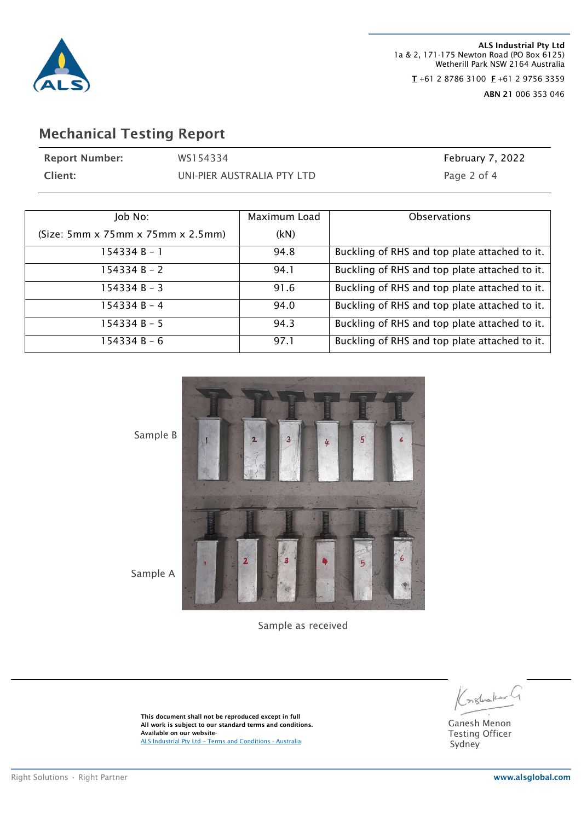

ALS Industrial Pty Ltd 1a & 2, 171-175 Newton Road (PO Box 6125) Wetherill Park NSW 2164 Australia  $T + 61$  2 8786 3100  $F + 61$  2 9756 3359 ABN 21 006 353 046

## Mechanical Testing Report

| <b>Report Number:</b>                              | WS154334                   |              | February 7, 2022                              |
|----------------------------------------------------|----------------------------|--------------|-----------------------------------------------|
| Client:                                            | UNI-PIER AUSTRALIA PTY LTD |              | Page 2 of 4                                   |
|                                                    |                            |              |                                               |
| Job No:                                            |                            | Maximum Load | Observations                                  |
| $(Size: 5mm \times 75mm \times 75mm \times 2.5mm)$ |                            | (kN)         |                                               |
| $154334 B - 1$                                     |                            | 94.8         | Buckling of RHS and top plate attached to it. |
| $154334 B - 2$                                     |                            | 94.1         | Buckling of RHS and top plate attached to it. |
| $154334 B - 3$                                     |                            | 91.6         | Buckling of RHS and top plate attached to it. |
| $154334 B - 4$                                     |                            | 94.0         | Buckling of RHS and top plate attached to it. |
| $154334 B - 5$                                     |                            | 94.3         | Buckling of RHS and top plate attached to it. |
| $154334 B - 6$                                     |                            | 97.1         | Buckling of RHS and top plate attached to it. |



Sample as received

Kostrakarl

Ganesh Menon Testing Officer Sydney

This document shall not be reproduced except in full All work is subject to our standard terms and conditions. Available on our website-ALS Industrial Pty Ltd – [Terms and Conditions -](https://aus01.safelinks.protection.outlook.com/?url=https%3A%2F%2Fwww.alsglobal.com%2F-%2Fmedia%2Fals%2Fresources%2Fservices-and-products%2Fasset-integrity-and-reliability%2Fterms-and-conditions%2Fals-terms-and-conditions-industrial-australia.pdf&data=02%7C01%7CRhys.James%40alsglobal.com%7C14c935bd620c4d8856d108d7c4ab207b%7C485ca04e6f7440509764cdb4bfa89c25%7C0%7C0%7C637194111592363348&sdata=L9lgINI%2BjgbMNHufEQacGWh2YJF5MFvXAPyWHbQlsAA%3D&reserved=0) Australia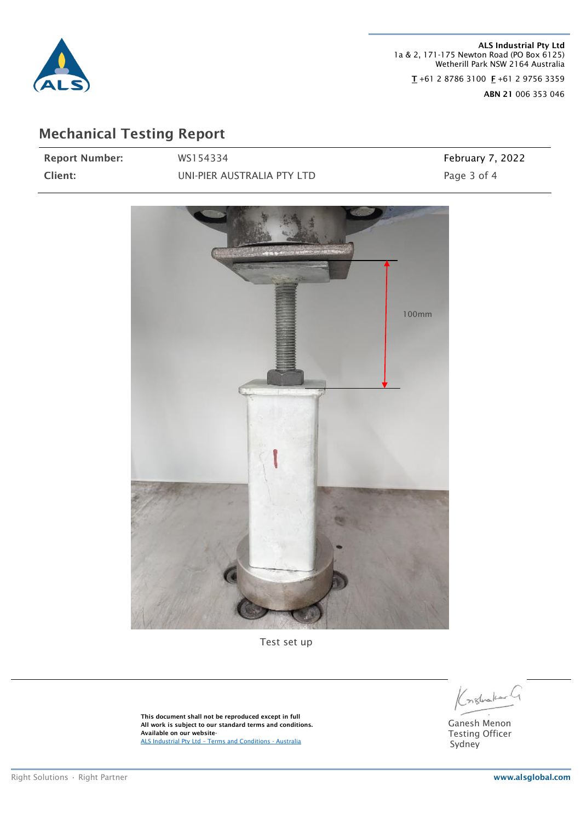

ALS Industrial Pty Ltd 1a & 2, 171-175 Newton Road (PO Box 6125) Wetherill Park NSW 2164 Australia  $T + 61$  2 8786 3100  $F + 61$  2 9756 3359 ABN 21 006 353 046

# Mechanical Testing Report

| <b>Report Number:</b> | WS154334                   | February 7, 2022 |
|-----------------------|----------------------------|------------------|
| Client:               | UNI-PIER AUSTRALIA PTY LTD | Page 3 of 4      |



Test set up

Konstructural

Ganesh Menon Testing Officer Sydney

This document shall not be reproduced except in full All work is subject to our standard terms and conditions. Available on our website-ALS Industrial Pty Ltd – [Terms and Conditions -](https://aus01.safelinks.protection.outlook.com/?url=https%3A%2F%2Fwww.alsglobal.com%2F-%2Fmedia%2Fals%2Fresources%2Fservices-and-products%2Fasset-integrity-and-reliability%2Fterms-and-conditions%2Fals-terms-and-conditions-industrial-australia.pdf&data=02%7C01%7CRhys.James%40alsglobal.com%7C14c935bd620c4d8856d108d7c4ab207b%7C485ca04e6f7440509764cdb4bfa89c25%7C0%7C0%7C637194111592363348&sdata=L9lgINI%2BjgbMNHufEQacGWh2YJF5MFvXAPyWHbQlsAA%3D&reserved=0) Australia